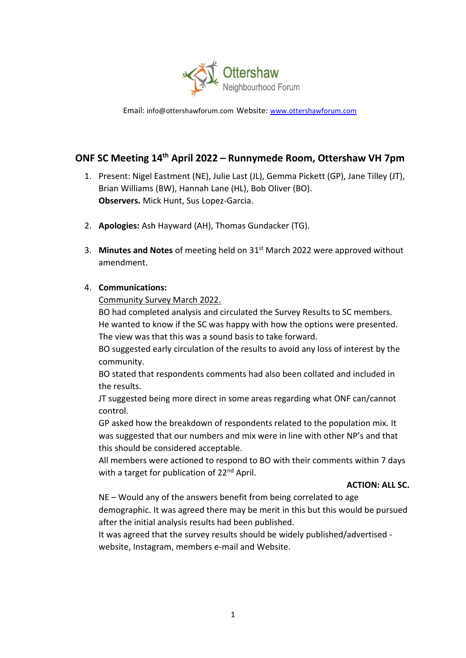

Email: [info@ottershawforum.com](mailto:info@ottershawforum.com) Website: [www.ottershawforum.com](http://www.ottershawforum.com/)

# **ONF SC Meeting 14th April 2022 – Runnymede Room, Ottershaw VH 7pm**

- 1. Present: Nigel Eastment (NE), Julie Last (JL), Gemma Pickett (GP), Jane Tilley (JT), Brian Williams (BW), Hannah Lane (HL), Bob Oliver (BO). **Observers.** Mick Hunt, Sus Lopez-Garcia.
- 2. **Apologies:** Ash Hayward (AH), Thomas Gundacker (TG).
- 3. **Minutes and Notes** of meeting held on 31st March 2022 were approved without amendment.

# 4. **Communications:**

Community Survey March 2022.

BO had completed analysis and circulated the Survey Results to SC members. He wanted to know if the SC was happy with how the options were presented. The view was that this was a sound basis to take forward.

BO suggested early circulation of the results to avoid any loss of interest by the community.

BO stated that respondents comments had also been collated and included in the results.

JT suggested being more direct in some areas regarding what ONF can/cannot control.

GP asked how the breakdown of respondents related to the population mix. It was suggested that our numbers and mix were in line with other NP's and that this should be considered acceptable.

All members were actioned to respond to BO with their comments within 7 days with a target for publication of 22<sup>nd</sup> April.

# **ACTION: ALL SC.**

NE – Would any of the answers benefit from being correlated to age demographic. It was agreed there may be merit in this but this would be pursued after the initial analysis results had been published.

It was agreed that the survey results should be widely published/advertised website, Instagram, members e-mail and Website.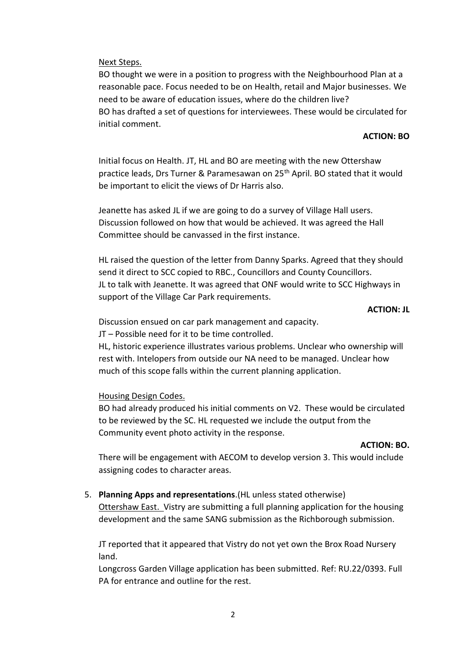#### Next Steps.

BO thought we were in a position to progress with the Neighbourhood Plan at a reasonable pace. Focus needed to be on Health, retail and Major businesses. We need to be aware of education issues, where do the children live? BO has drafted a set of questions for interviewees. These would be circulated for initial comment.

#### **ACTION: BO**

Initial focus on Health. JT, HL and BO are meeting with the new Ottershaw practice leads, Drs Turner & Paramesawan on 25<sup>th</sup> April. BO stated that it would be important to elicit the views of Dr Harris also.

Jeanette has asked JL if we are going to do a survey of Village Hall users. Discussion followed on how that would be achieved. It was agreed the Hall Committee should be canvassed in the first instance.

HL raised the question of the letter from Danny Sparks. Agreed that they should send it direct to SCC copied to RBC., Councillors and County Councillors. JL to talk with Jeanette. It was agreed that ONF would write to SCC Highways in support of the Village Car Park requirements.

#### **ACTION: JL**

Discussion ensued on car park management and capacity.

JT – Possible need for it to be time controlled.

HL, historic experience illustrates various problems. Unclear who ownership will rest with. Intelopers from outside our NA need to be managed. Unclear how much of this scope falls within the current planning application.

Housing Design Codes.

BO had already produced his initial comments on V2. These would be circulated to be reviewed by the SC. HL requested we include the output from the Community event photo activity in the response.

#### **ACTION: BO.**

There will be engagement with AECOM to develop version 3. This would include assigning codes to character areas.

5. **Planning Apps and representations**.(HL unless stated otherwise)

Ottershaw East. Vistry are submitting a full planning application for the housing development and the same SANG submission as the Richborough submission.

JT reported that it appeared that Vistry do not yet own the Brox Road Nursery land.

Longcross Garden Village application has been submitted. Ref: RU.22/0393. Full PA for entrance and outline for the rest.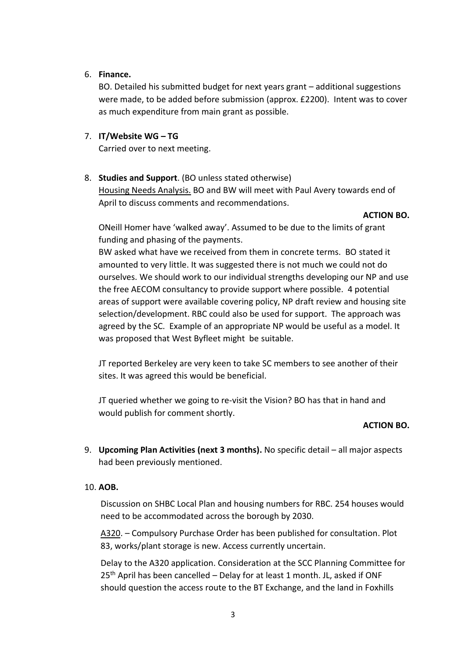# 6. **Finance.**

BO. Detailed his submitted budget for next years grant – additional suggestions were made, to be added before submission (approx. £2200). Intent was to cover as much expenditure from main grant as possible.

# 7. **IT/Website WG – TG**

Carried over to next meeting.

# 8. **Studies and Support**. (BO unless stated otherwise)

Housing Needs Analysis. BO and BW will meet with Paul Avery towards end of April to discuss comments and recommendations.

# **ACTION BO.**

ONeill Homer have 'walked away'. Assumed to be due to the limits of grant funding and phasing of the payments.

BW asked what have we received from them in concrete terms. BO stated it amounted to very little. It was suggested there is not much we could not do ourselves. We should work to our individual strengths developing our NP and use the free AECOM consultancy to provide support where possible. 4 potential areas of support were available covering policy, NP draft review and housing site selection/development. RBC could also be used for support. The approach was agreed by the SC. Example of an appropriate NP would be useful as a model. It was proposed that West Byfleet might be suitable.

JT reported Berkeley are very keen to take SC members to see another of their sites. It was agreed this would be beneficial.

JT queried whether we going to re-visit the Vision? BO has that in hand and would publish for comment shortly.

# **ACTION BO.**

9. **Upcoming Plan Activities (next 3 months).** No specific detail – all major aspects had been previously mentioned.

# 10. **AOB.**

Discussion on SHBC Local Plan and housing numbers for RBC. 254 houses would need to be accommodated across the borough by 2030.

A320. – Compulsory Purchase Order has been published for consultation. Plot 83, works/plant storage is new. Access currently uncertain.

Delay to the A320 application. Consideration at the SCC Planning Committee for  $25<sup>th</sup>$  April has been cancelled – Delay for at least 1 month. JL, asked if ONF should question the access route to the BT Exchange, and the land in Foxhills